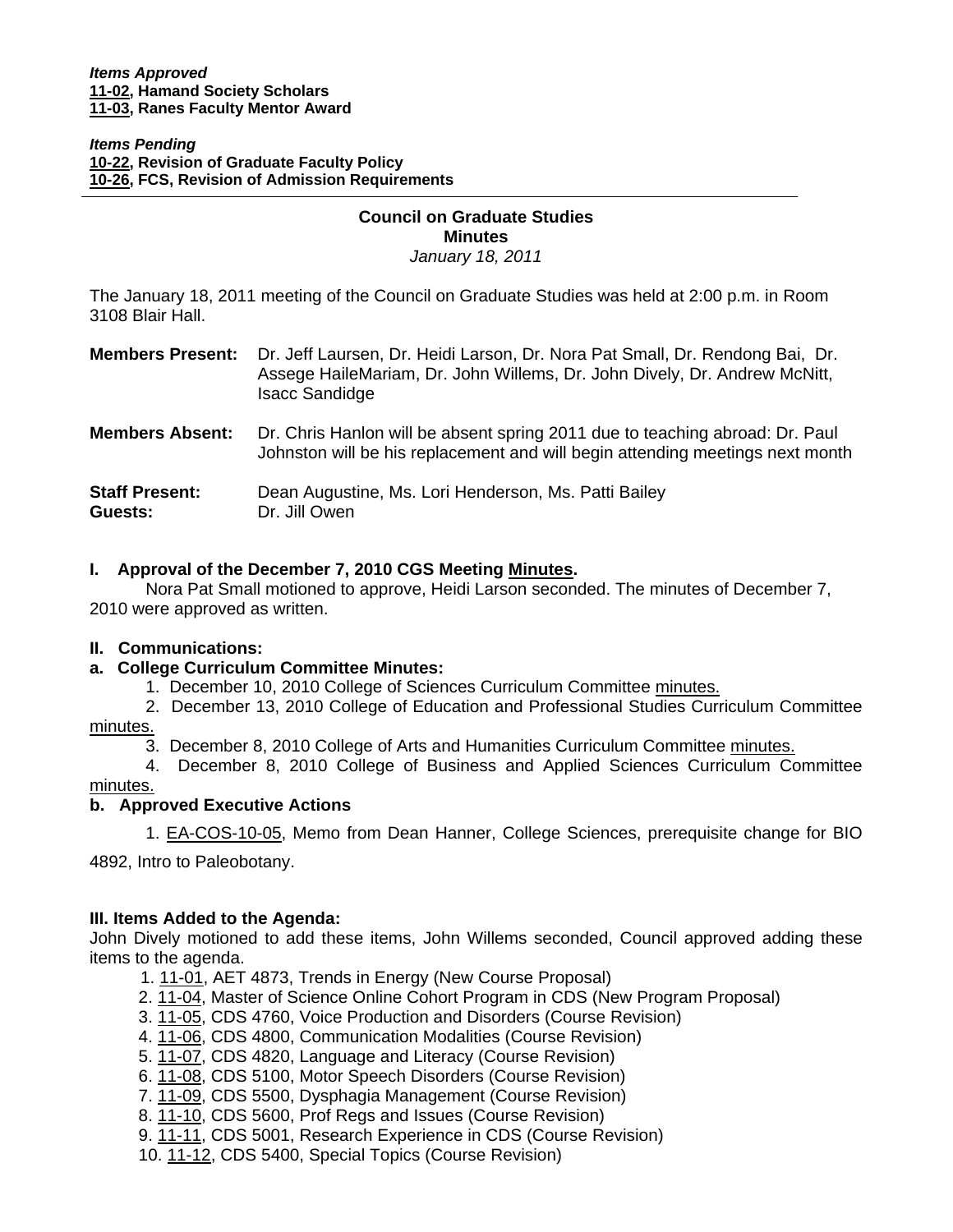I

*Items Pending* **[10-22, R](http://www.eiu.edu/~eiucgs/currentagendaitems/agenda10-22.pdf)evision of Graduate Faculty Policy [10-26, F](http://www.eiu.edu/~eiucgs/currentagendaitems/agenda10-26.pdf)CS, Revision of Admission Requirements**

# **Council on Graduate Studies Minutes**

*January 18, 2011* 

The January 18, 2011 meeting of the Council on Graduate Studies was held at 2:00 p.m. in Room 3108 Blair Hall.

| <b>Members Present:</b>          | Dr. Jeff Laursen, Dr. Heidi Larson, Dr. Nora Pat Small, Dr. Rendong Bai, Dr.<br>Assege HaileMariam, Dr. John Willems, Dr. John Dively, Dr. Andrew McNitt,<br><b>Isacc Sandidge</b> |
|----------------------------------|------------------------------------------------------------------------------------------------------------------------------------------------------------------------------------|
| <b>Members Absent:</b>           | Dr. Chris Hanlon will be absent spring 2011 due to teaching abroad: Dr. Paul<br>Johnston will be his replacement and will begin attending meetings next month                      |
| <b>Staff Present:</b><br>Guests: | Dean Augustine, Ms. Lori Henderson, Ms. Patti Bailey<br>Dr. Jill Owen                                                                                                              |

## **I. Approval of the December 7, 2010 CGS Meetin[g Minutes.](http://castle.eiu.edu/~eiucgs/currentminutes/Minutes12-7-10.pdf)**

 Nora Pat Small motioned to approve, Heidi Larson seconded. The minutes of December 7, 2010 were approved as written.

## **II. Communications:**

## **a. College Curriculum Committee Minutes:**

- 1. December 10, 2010 College of Sciences Curriculum Committe[e minutes.](http://www.eiu.edu/~eiucgs/currentagendaitems/COSMin12-10-10.pdf)
- 2. December 13, 2010 College of Education and Professional Studies Curriculum Committee [minutes.](http://www.eiu.edu/~eiucgs/currentagendaitems/CEPSMin12-13-10.pdf)
	- 3. December 8, 2010 College of Arts and Humanities Curriculum Committ[ee minutes.](http://www.eiu.edu/~eiucgs/currentagendaitems/CAHMin12-8-10.pdf)

 4. December 8, 2010 College of Business and Applied Sciences Curriculum Committee [minutes.](http://www.eiu.edu/~eiucgs/currentagendaitems/LCBASMin12-8-10.pdf)

## **b. Approved Executive Actions**

1[. EA-COS-10-05, M](http://castle.eiu.edu/~eiucgs/exec-actions/EA-COS-10-05.pdf)emo from Dean Hanner, College Sciences, prerequisite change for BIO

4892, Intro to Paleobotany.

## **III. Items Added to the Agenda:**

John Dively motioned to add these items, John Willems seconded, Council approved adding these items to the agenda.

- 1. [11-01, A](http://www.eiu.edu/~eiucgs/currentagendaitems/agenda11-01.pdf)ET 4873, Trends in Energy (New Course Proposal)
- 2. [11-04, M](http://www.eiu.edu/~eiucgs/currentagendaitems/agenda11-04.pdf)aster of Science Online Cohort Program in CDS (New Program Proposal)
- 3. [11-05, CD](http://www.eiu.edu/~eiucgs/currentagendaitems/agenda11-05.pdf)S 4760, Voice Production and Disorders (Course Revision)
- 4. [11-06, C](http://www.eiu.edu/~eiucgs/currentagendaitems/agenda11-06.pdf)DS 4800, Communication Modalities (Course Revision)
- 5[. 11-07, CD](http://www.eiu.edu/~eiucgs/currentagendaitems/agenda11-07.pdf)S 4820, Language and Literacy (Course Revision)
- 6. [11-08, C](http://www.eiu.edu/~eiucgs/currentagendaitems/agenda11-08.pdf)DS 5100, Motor Speech Disorders (Course Revision)
- 7[. 11-09, C](http://www.eiu.edu/~eiucgs/currentagendaitems/agenda11-09.pdf)DS 5500, Dysphagia Management (Course Revision)
- [8. 11-10, C](http://www.eiu.edu/~eiucgs/currentagendaitems/agenda11-10.pdf)DS 5600, Prof Regs and Issues (Course Revision)
- 9. [11-11, C](http://www.eiu.edu/~eiucgs/currentagendaitems/agenda11-11.pdf)DS 5001, Research Experience in CDS (Course Revision)
- 10. [11-12, C](http://www.eiu.edu/~eiucgs/currentagendaitems/agenda11-12.pdf)DS 5400, Special Topics (Course Revision)